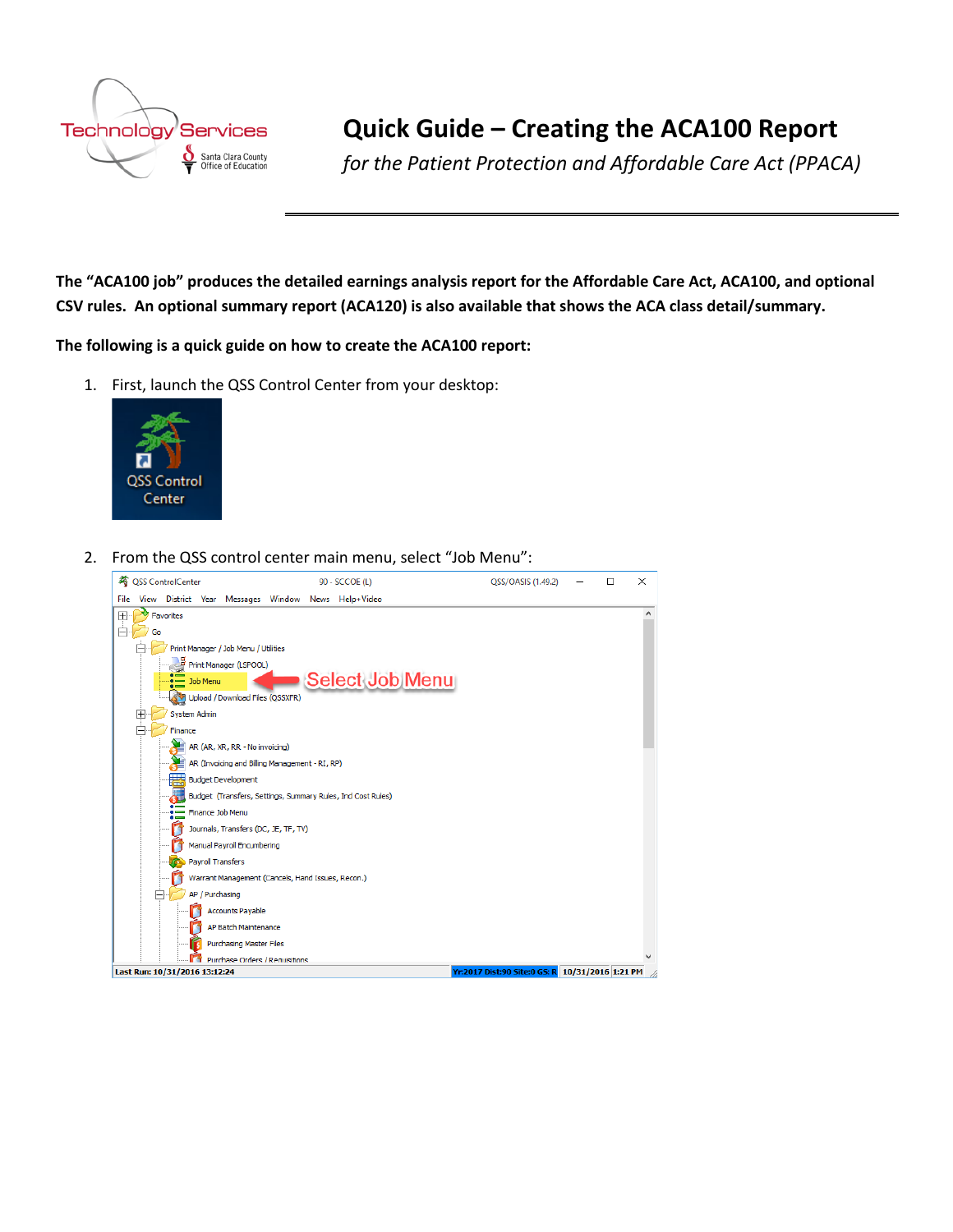

# **Quick Guide – Creating the ACA100 Report**

*for the Patient Protection and Affordable Care Act (PPACA)*

**The "ACA100 job" produces the detailed earnings analysis report for the Affordable Care Act, ACA100, and optional CSV rules. An optional summary report (ACA120) is also available that shows the ACA class detail/summary.**

**The following is a quick guide on how to create the ACA100 report:**

1. First, launch the QSS Control Center from your desktop:



2. From the QSS control center main menu, select "Job Menu":

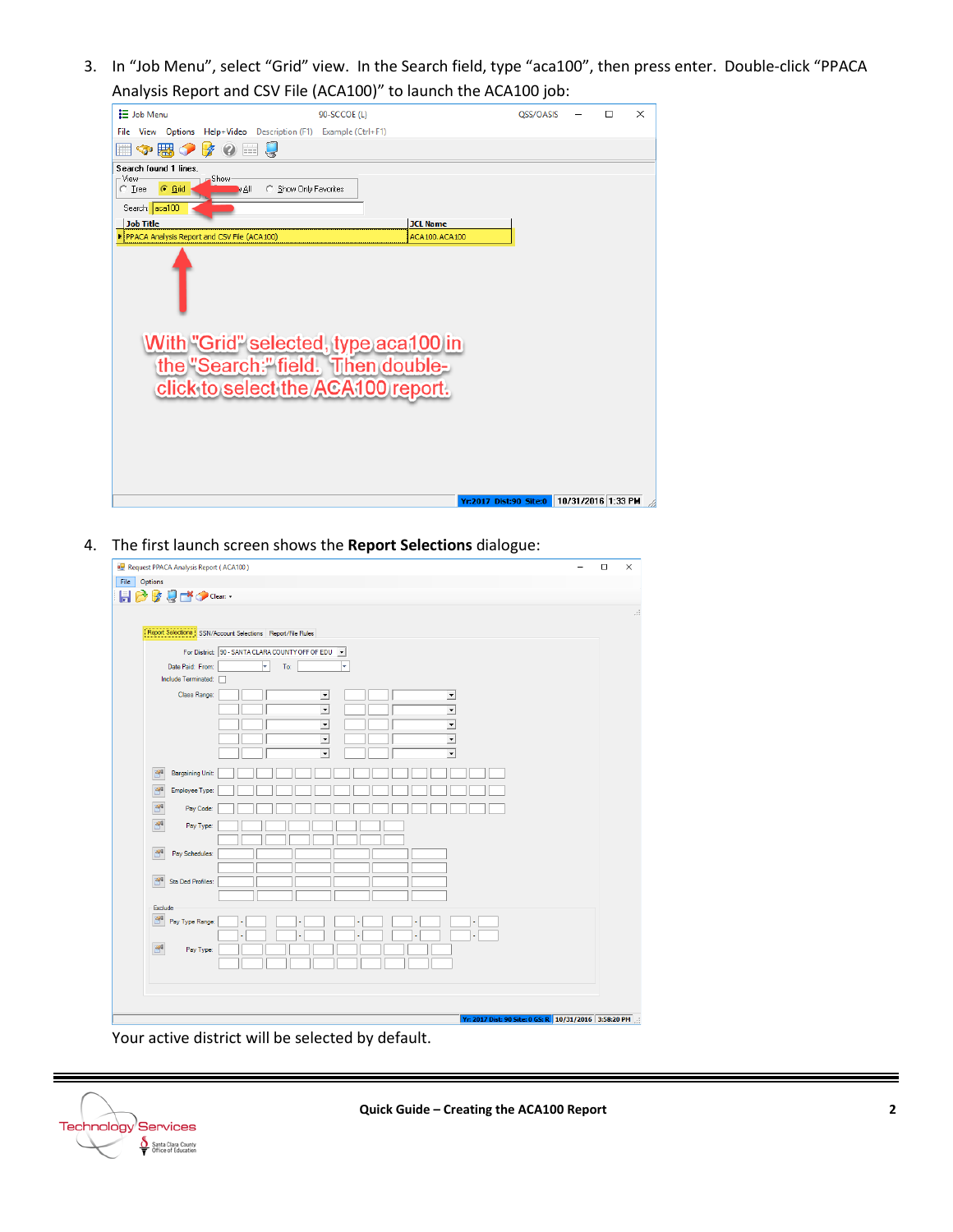3. In "Job Menu", select "Grid" view. In the Search field, type "aca100", then press enter. Double-click "PPACA Analysis Report and CSV File (ACA100)" to launch the ACA100 job:

| <b>三</b> Job Menu                           |                               |                       | 90-SCCOE (L)                                  |                 |                        | OSS/OASIS |                    | $\Box$ | X |
|---------------------------------------------|-------------------------------|-----------------------|-----------------------------------------------|-----------------|------------------------|-----------|--------------------|--------|---|
| View Options<br>File                        |                               |                       | Help+Video Description (F1) Example (Ctrl+F1) |                 |                        |           |                    |        |   |
| ◆思◆                                         | $\frac{1}{2}$<br>$\mathcal O$ |                       |                                               |                 |                        |           |                    |        |   |
| Search found 1 lines.                       |                               |                       |                                               |                 |                        |           |                    |        |   |
| ⊢View<br>$C$ Grid<br>$C$ Tree               | <b>Show</b><br>MAI            | C Show Only Favorites |                                               |                 |                        |           |                    |        |   |
| Search: aca100                              |                               |                       |                                               |                 |                        |           |                    |        |   |
| <b>Job Title</b>                            |                               |                       |                                               | <b>JCL Name</b> |                        |           |                    |        |   |
| PPACA Analysis Report and CSV File (ACA100) |                               |                       |                                               | ACA100.ACA100   |                        |           |                    |        |   |
|                                             |                               |                       |                                               |                 |                        |           |                    |        |   |
|                                             |                               |                       |                                               |                 |                        |           |                    |        |   |
|                                             |                               |                       |                                               |                 |                        |           |                    |        |   |
|                                             |                               |                       |                                               |                 |                        |           |                    |        |   |
|                                             |                               |                       |                                               |                 |                        |           |                    |        |   |
|                                             |                               |                       | With "Grid" selected, type aca100 in          |                 |                        |           |                    |        |   |
|                                             |                               |                       | the "Search:" field. Then double-             |                 |                        |           |                    |        |   |
|                                             |                               |                       |                                               |                 |                        |           |                    |        |   |
|                                             |                               |                       | click to select the ACA100 report.            |                 |                        |           |                    |        |   |
|                                             |                               |                       |                                               |                 |                        |           |                    |        |   |
|                                             |                               |                       |                                               |                 |                        |           |                    |        |   |
|                                             |                               |                       |                                               |                 |                        |           |                    |        |   |
|                                             |                               |                       |                                               |                 |                        |           |                    |        |   |
|                                             |                               |                       |                                               |                 |                        |           |                    |        |   |
|                                             |                               |                       |                                               |                 |                        |           |                    |        |   |
|                                             |                               |                       |                                               |                 | Yr:2017 Dist:90 Site:0 |           | 10/31/2016 1:33 PM |        |   |
|                                             |                               |                       |                                               |                 |                        |           |                    |        |   |

4. The first launch screen shows the **Report Selections** dialogue:

| Report Selections   SSN/Account Selections   Report/File Rules                                           |  |  |
|----------------------------------------------------------------------------------------------------------|--|--|
| For District: 90 - SANTA CLARA COUNTY OFF OF EDU V                                                       |  |  |
| $\vert \mathbf{v} \vert$<br>Date Paid: From:<br>To:<br>↳                                                 |  |  |
| Include Terminated:                                                                                      |  |  |
| Class Range:<br>$\overline{ }$<br>ᅬ                                                                      |  |  |
| $\overline{\cdot}$<br>$\overline{\phantom{0}}$                                                           |  |  |
| $\overline{\phantom{a}}$<br>$\overline{\phantom{0}}$                                                     |  |  |
| $\overline{\phantom{0}}$<br>$\overline{\phantom{0}}$<br>$\overline{\phantom{a}}$<br>$\blacktriangledown$ |  |  |
|                                                                                                          |  |  |
| ď<br><b>Bargaining Unit:</b>                                                                             |  |  |
| P <sup>24</sup><br>Employee Type:                                                                        |  |  |
| 图<br>Pay Code:                                                                                           |  |  |
| B<br>Pay Type:                                                                                           |  |  |
|                                                                                                          |  |  |
| 闸<br>Pay Schedules:                                                                                      |  |  |
|                                                                                                          |  |  |
| P<br>Sta Ded Profiles:                                                                                   |  |  |
|                                                                                                          |  |  |
| Exclude<br>图                                                                                             |  |  |
| Pay Type Range:                                                                                          |  |  |
| $\mathbb{B}^4$<br>Pay Type:                                                                              |  |  |
|                                                                                                          |  |  |

Your active district will be selected by default.



Ξ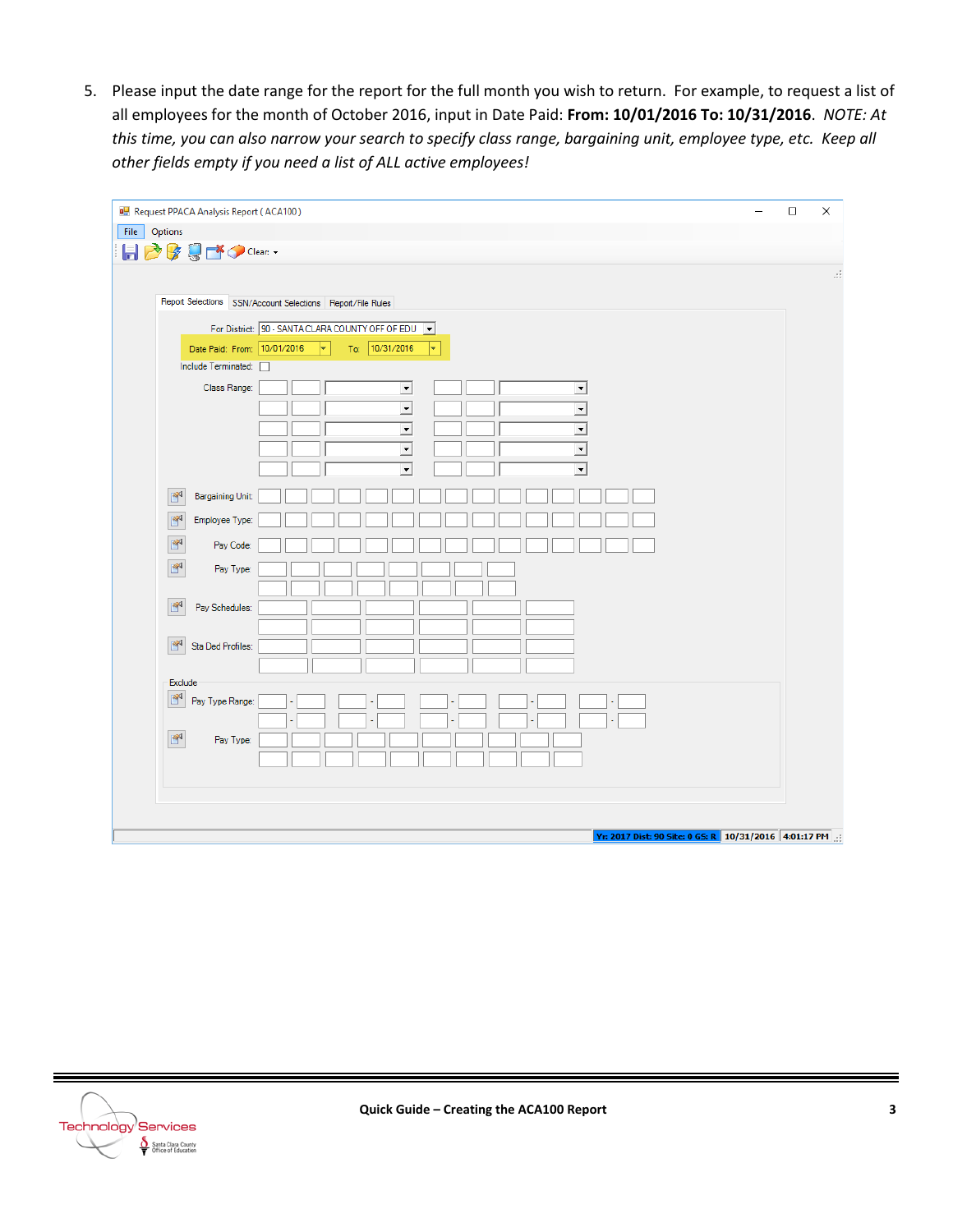5. Please input the date range for the report for the full month you wish to return. For example, to request a list of all employees for the month of October 2016, input in Date Paid: **From: 10/01/2016 To: 10/31/2016**. *NOTE: At this time, you can also narrow your search to specify class range, bargaining unit, employee type, etc. Keep all other fields empty if you need a list of ALL active employees!*

| Request PPACA Analysis Report (ACA100)                                                                                                                                                                                                                                                                                                                                                                                                      | $\Box$ | $\times$ |
|---------------------------------------------------------------------------------------------------------------------------------------------------------------------------------------------------------------------------------------------------------------------------------------------------------------------------------------------------------------------------------------------------------------------------------------------|--------|----------|
| File<br>Options                                                                                                                                                                                                                                                                                                                                                                                                                             |        |          |
| 日28号びつClear:                                                                                                                                                                                                                                                                                                                                                                                                                                |        |          |
| Report Selections SSN/Account Selections Report/File Rules<br>For District: 90 - SANTA CLARA COUNTY OFF OF EDU V<br>To: 10/31/2016<br>Date Paid: From: 10/01/2016<br>$ \bullet $<br>⊢<br>Include Terminated:<br>Class Range:<br>$\overline{\phantom{a}}$<br>$\overline{z}$<br>$\overline{\cdot}$<br>$\overline{\phantom{0}}$<br>$\overline{\mathbf{r}}$<br>$\overline{\phantom{a}}$<br>$\overline{\phantom{0}}$<br>$\overline{\phantom{a}}$ |        | Ш        |
| $\overline{\mathbf{r}}$<br>$\overline{\phantom{a}}$<br>ď<br><b>Bargaining Unit:</b>                                                                                                                                                                                                                                                                                                                                                         |        |          |
| ď<br>Employee Type:                                                                                                                                                                                                                                                                                                                                                                                                                         |        |          |
| ď<br>Pay Code:                                                                                                                                                                                                                                                                                                                                                                                                                              |        |          |
| ď                                                                                                                                                                                                                                                                                                                                                                                                                                           |        |          |
| Pay Type:<br>酽<br>Pay Schedules:                                                                                                                                                                                                                                                                                                                                                                                                            |        |          |
| ď<br>Sta Ded Profiles:<br>Exclude                                                                                                                                                                                                                                                                                                                                                                                                           |        |          |
| F<br>Pay Type Range:                                                                                                                                                                                                                                                                                                                                                                                                                        |        |          |
| $\mathbb{S}^4$<br>Pay Type:                                                                                                                                                                                                                                                                                                                                                                                                                 |        |          |
|                                                                                                                                                                                                                                                                                                                                                                                                                                             |        |          |
| Yr: 2017 Dist: 90 Site: 0 GS: R 10/31/2016 4:01:17 PM                                                                                                                                                                                                                                                                                                                                                                                       |        |          |

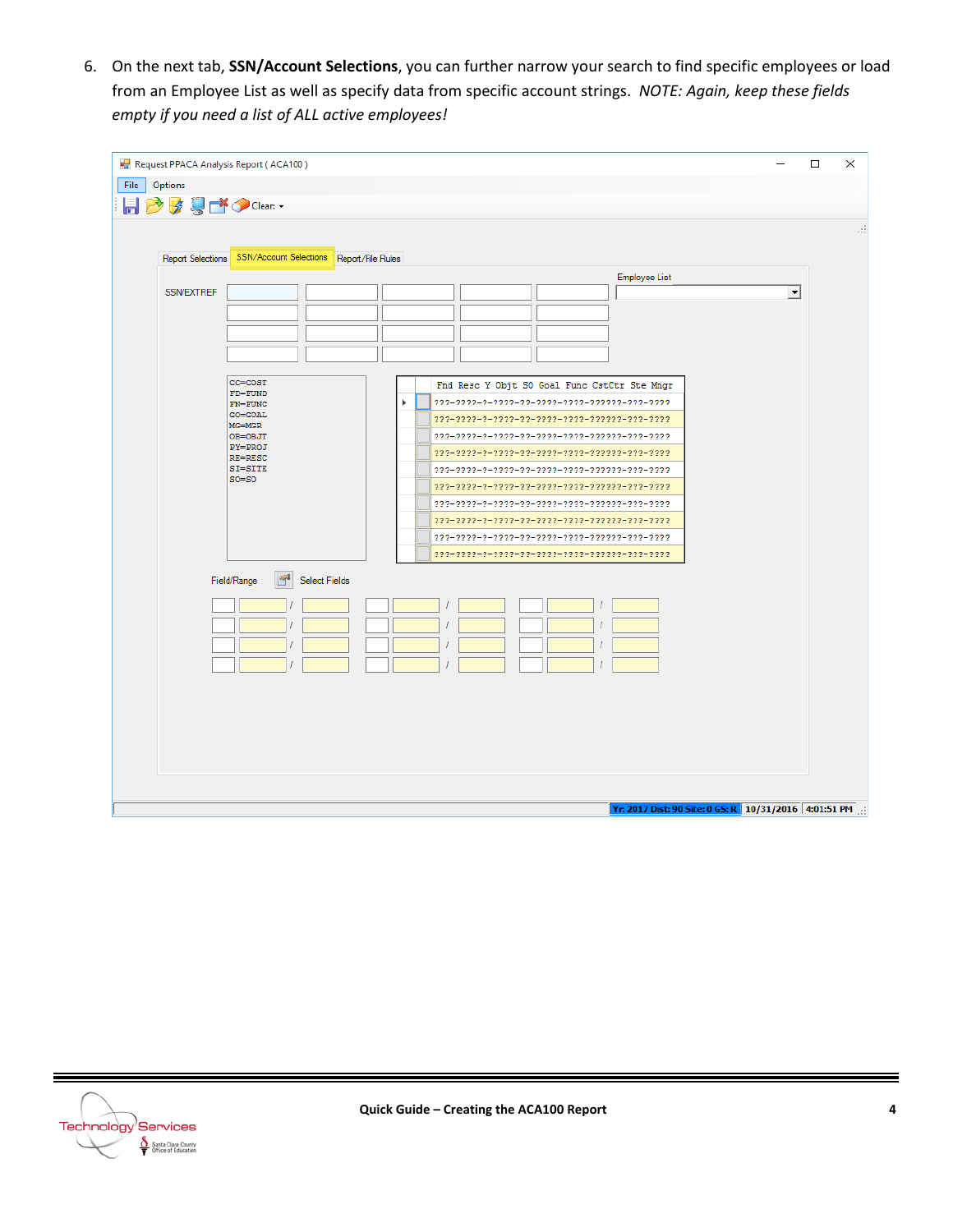6. On the next tab, **SSN/Account Selections**, you can further narrow your search to find specific employees or load from an Employee List as well as specify data from specific account strings. *NOTE: Again, keep these fields empty if you need a list of ALL active employees!*

| File<br>Options<br><b>HBBはごつClear:</b><br>SSN/Account Selections   Report/File Rules<br>Report Selections<br>Employee List<br>SSN/EXTREF<br>$\blacktriangledown$<br>CC=COST<br>Fnd Resc Y Objt SO Goal Func CstCtr Ste Mngr<br>$FD = FUND$<br>Þ<br>$222 - 2222 - 2 - 2222 - 22 - 2222 - 2222 - 22222 - 222 - 2222$<br>$FN = FUNCTIONC$<br><b>GO=GOAL</b><br>$222 - 2222 - 2 - 2222 - 22 - 2222 - 2222 - 22222 - 222 - 2222$<br>$MG=MGR$<br>OB=OBJT<br>$222 - 2222 - 2 - 2222 - 22 - 2222 - 2222 - 2222 - 222 - 222 - 2222$<br>PY=PROJ<br>$222 - 2222 - 2 - 2222 - 22 - 2222 - 2222 - 22222 - 2222 - 2222$<br>RE=RESC<br>SI=SITE<br>$222 - 2222 - 2 - 2222 - 22 - 2222 - 2222 - 22222 - 222 - 222 - 2222$<br>$SO = SO$<br>$222 - 2222 - 2 - 2222 - 22 - 2222 - 2222 - 22222 - 222 - 2222$<br>$222 - 2222 - 2 - 2222 - 22 - 2222 - 2222 - 22222 - 222 - 2222$<br>$222 - 2222 - 2 - 2222 - 22 - 2222 - 2222 - 22222 - 222 - 2222$<br>$222 - 2222 - 2 - 2222 - 22 - 2222 - 2222 - 22222 - 222 - 2222$<br>$222 - 2222 - 2 - 2222 - 22 - 2222 - 2222 - 22222 - 222 - 2222$<br>r<br>Select Fields<br>Field/Range | Request PPACA Analysis Report (ACA100) | □<br>$\times$ |
|-----------------------------------------------------------------------------------------------------------------------------------------------------------------------------------------------------------------------------------------------------------------------------------------------------------------------------------------------------------------------------------------------------------------------------------------------------------------------------------------------------------------------------------------------------------------------------------------------------------------------------------------------------------------------------------------------------------------------------------------------------------------------------------------------------------------------------------------------------------------------------------------------------------------------------------------------------------------------------------------------------------------------------------------------------------------------------------------------------------|----------------------------------------|---------------|
|                                                                                                                                                                                                                                                                                                                                                                                                                                                                                                                                                                                                                                                                                                                                                                                                                                                                                                                                                                                                                                                                                                           |                                        |               |
| лi<br>Yr: 2017 Dist: 90 Site: 0 GS: R 10/31/2016 4:01:51 PM                                                                                                                                                                                                                                                                                                                                                                                                                                                                                                                                                                                                                                                                                                                                                                                                                                                                                                                                                                                                                                               |                                        |               |
|                                                                                                                                                                                                                                                                                                                                                                                                                                                                                                                                                                                                                                                                                                                                                                                                                                                                                                                                                                                                                                                                                                           |                                        |               |
|                                                                                                                                                                                                                                                                                                                                                                                                                                                                                                                                                                                                                                                                                                                                                                                                                                                                                                                                                                                                                                                                                                           |                                        |               |
|                                                                                                                                                                                                                                                                                                                                                                                                                                                                                                                                                                                                                                                                                                                                                                                                                                                                                                                                                                                                                                                                                                           |                                        |               |
|                                                                                                                                                                                                                                                                                                                                                                                                                                                                                                                                                                                                                                                                                                                                                                                                                                                                                                                                                                                                                                                                                                           |                                        |               |
|                                                                                                                                                                                                                                                                                                                                                                                                                                                                                                                                                                                                                                                                                                                                                                                                                                                                                                                                                                                                                                                                                                           |                                        |               |
|                                                                                                                                                                                                                                                                                                                                                                                                                                                                                                                                                                                                                                                                                                                                                                                                                                                                                                                                                                                                                                                                                                           |                                        |               |
|                                                                                                                                                                                                                                                                                                                                                                                                                                                                                                                                                                                                                                                                                                                                                                                                                                                                                                                                                                                                                                                                                                           |                                        |               |
|                                                                                                                                                                                                                                                                                                                                                                                                                                                                                                                                                                                                                                                                                                                                                                                                                                                                                                                                                                                                                                                                                                           |                                        |               |
|                                                                                                                                                                                                                                                                                                                                                                                                                                                                                                                                                                                                                                                                                                                                                                                                                                                                                                                                                                                                                                                                                                           |                                        |               |
|                                                                                                                                                                                                                                                                                                                                                                                                                                                                                                                                                                                                                                                                                                                                                                                                                                                                                                                                                                                                                                                                                                           |                                        |               |
|                                                                                                                                                                                                                                                                                                                                                                                                                                                                                                                                                                                                                                                                                                                                                                                                                                                                                                                                                                                                                                                                                                           |                                        |               |
|                                                                                                                                                                                                                                                                                                                                                                                                                                                                                                                                                                                                                                                                                                                                                                                                                                                                                                                                                                                                                                                                                                           |                                        |               |
|                                                                                                                                                                                                                                                                                                                                                                                                                                                                                                                                                                                                                                                                                                                                                                                                                                                                                                                                                                                                                                                                                                           |                                        |               |
|                                                                                                                                                                                                                                                                                                                                                                                                                                                                                                                                                                                                                                                                                                                                                                                                                                                                                                                                                                                                                                                                                                           |                                        |               |
|                                                                                                                                                                                                                                                                                                                                                                                                                                                                                                                                                                                                                                                                                                                                                                                                                                                                                                                                                                                                                                                                                                           |                                        |               |
|                                                                                                                                                                                                                                                                                                                                                                                                                                                                                                                                                                                                                                                                                                                                                                                                                                                                                                                                                                                                                                                                                                           |                                        |               |
|                                                                                                                                                                                                                                                                                                                                                                                                                                                                                                                                                                                                                                                                                                                                                                                                                                                                                                                                                                                                                                                                                                           |                                        |               |
|                                                                                                                                                                                                                                                                                                                                                                                                                                                                                                                                                                                                                                                                                                                                                                                                                                                                                                                                                                                                                                                                                                           |                                        |               |
|                                                                                                                                                                                                                                                                                                                                                                                                                                                                                                                                                                                                                                                                                                                                                                                                                                                                                                                                                                                                                                                                                                           |                                        |               |
|                                                                                                                                                                                                                                                                                                                                                                                                                                                                                                                                                                                                                                                                                                                                                                                                                                                                                                                                                                                                                                                                                                           |                                        |               |
|                                                                                                                                                                                                                                                                                                                                                                                                                                                                                                                                                                                                                                                                                                                                                                                                                                                                                                                                                                                                                                                                                                           |                                        |               |
|                                                                                                                                                                                                                                                                                                                                                                                                                                                                                                                                                                                                                                                                                                                                                                                                                                                                                                                                                                                                                                                                                                           |                                        |               |
|                                                                                                                                                                                                                                                                                                                                                                                                                                                                                                                                                                                                                                                                                                                                                                                                                                                                                                                                                                                                                                                                                                           |                                        |               |
|                                                                                                                                                                                                                                                                                                                                                                                                                                                                                                                                                                                                                                                                                                                                                                                                                                                                                                                                                                                                                                                                                                           |                                        |               |
|                                                                                                                                                                                                                                                                                                                                                                                                                                                                                                                                                                                                                                                                                                                                                                                                                                                                                                                                                                                                                                                                                                           |                                        |               |
|                                                                                                                                                                                                                                                                                                                                                                                                                                                                                                                                                                                                                                                                                                                                                                                                                                                                                                                                                                                                                                                                                                           |                                        |               |
|                                                                                                                                                                                                                                                                                                                                                                                                                                                                                                                                                                                                                                                                                                                                                                                                                                                                                                                                                                                                                                                                                                           |                                        |               |
|                                                                                                                                                                                                                                                                                                                                                                                                                                                                                                                                                                                                                                                                                                                                                                                                                                                                                                                                                                                                                                                                                                           |                                        |               |
|                                                                                                                                                                                                                                                                                                                                                                                                                                                                                                                                                                                                                                                                                                                                                                                                                                                                                                                                                                                                                                                                                                           |                                        |               |
|                                                                                                                                                                                                                                                                                                                                                                                                                                                                                                                                                                                                                                                                                                                                                                                                                                                                                                                                                                                                                                                                                                           |                                        |               |



Ξ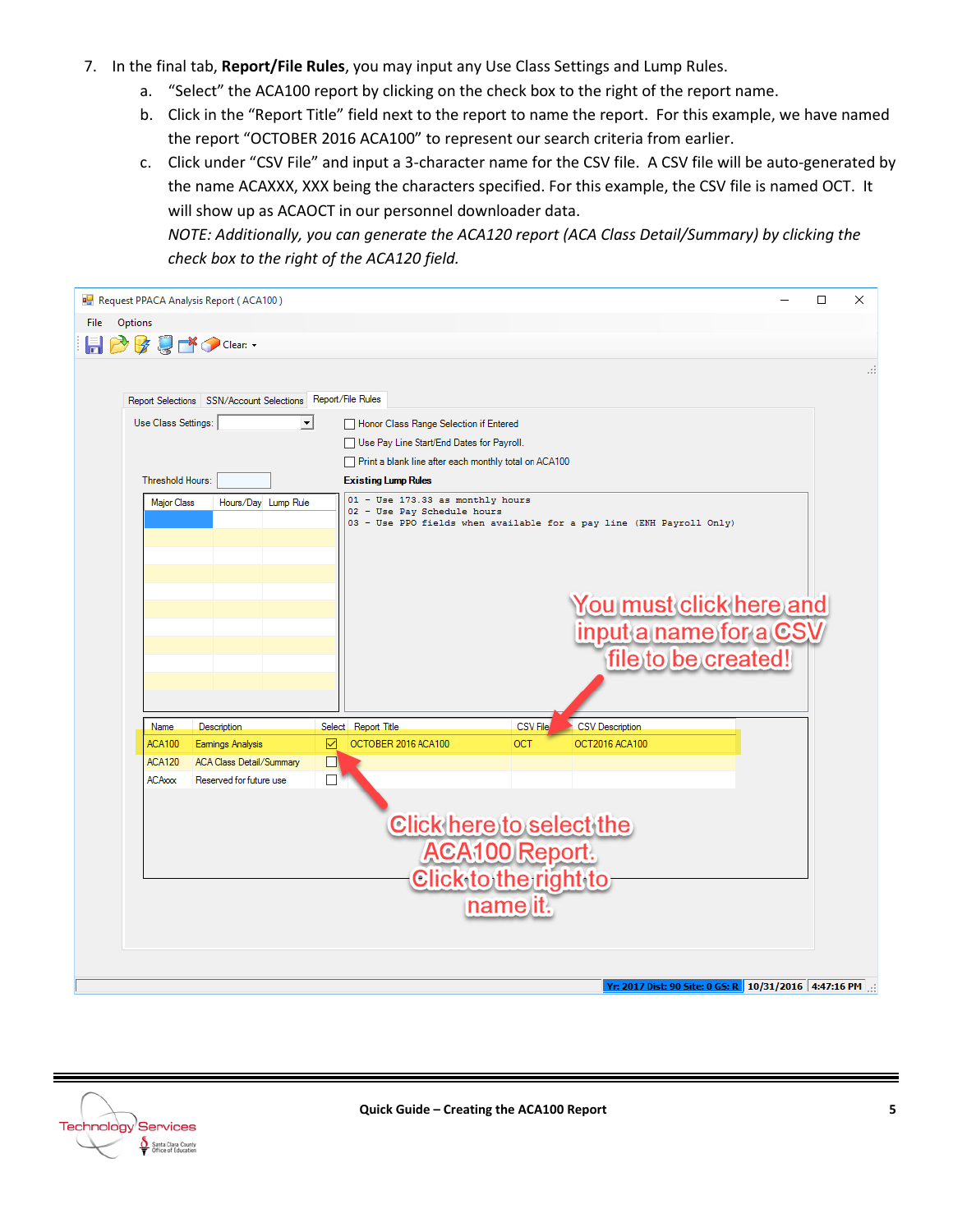- 7. In the final tab, **Report/File Rules**, you may input any Use Class Settings and Lump Rules.
	- a. "Select" the ACA100 report by clicking on the check box to the right of the report name.
	- b. Click in the "Report Title" field next to the report to name the report. For this example, we have named the report "OCTOBER 2016 ACA100" to represent our search criteria from earlier.
	- c. Click under "CSV File" and input a 3-character name for the CSV file. A CSV file will be auto-generated by the name ACAXXX, XXX being the characters specified. For this example, the CSV file is named OCT. It will show up as ACAOCT in our personnel downloader data.

*NOTE: Additionally, you can generate the ACA120 report (ACA Class Detail/Summary) by clicking the check box to the right of the ACA120 field.*

| Request PPACA Analysis Report (ACA100)                                                                                                                                                                                                    | $\Box$ | $\times$ |
|-------------------------------------------------------------------------------------------------------------------------------------------------------------------------------------------------------------------------------------------|--------|----------|
| <b>Options</b><br>File                                                                                                                                                                                                                    |        |          |
| <b>同つはじょう</b> Clear: ・                                                                                                                                                                                                                    |        |          |
|                                                                                                                                                                                                                                           |        | .::      |
|                                                                                                                                                                                                                                           |        |          |
| Report Selections SSN/Account Selections Report/File Rules                                                                                                                                                                                |        |          |
| $\vert \cdot \vert$<br>Use Class Settings:<br>Honor Class Range Selection if Entered                                                                                                                                                      |        |          |
| Use Pay Line Start/End Dates for Payroll.                                                                                                                                                                                                 |        |          |
| Print a blank line after each monthly total on ACA100                                                                                                                                                                                     |        |          |
| Threshold Hours:<br><b>Existing Lump Rules</b>                                                                                                                                                                                            |        |          |
| 01 - Use 173.33 as monthly hours<br><b>Major Class</b><br>Hours/Day Lump Rule<br>02 - Use Pay Schedule hours<br>03 - Use PPO fields when available for a pay line (ENH Payroll Only)<br>You must click here and<br>input a name for a CSV |        |          |
| file to be created!                                                                                                                                                                                                                       |        |          |
|                                                                                                                                                                                                                                           |        |          |
|                                                                                                                                                                                                                                           |        |          |
| <b>CSV File</b><br>Name.                                                                                                                                                                                                                  |        |          |
| <b>CSV</b> Description<br>Select Report Title<br><b>Description</b><br>OCTOBER 2016 ACA100<br><b>ACA100</b><br>☑<br>OCT<br>OCT2016 ACA100<br>Eamings Analysis                                                                             |        |          |
| <b>ACA120</b><br><b>ACA Class Detail/Summary</b><br>$\Box$                                                                                                                                                                                |        |          |
| <b>ACAxxx</b><br>Reserved for future use                                                                                                                                                                                                  |        |          |
| Click here to select the<br>ACA100 Report.<br>Click to the right to-<br>name it.                                                                                                                                                          |        |          |
| <b>Yr: 2017 Dist: 90 Site: 0 GS: R 10/31/2016 4:47:16 PM</b>                                                                                                                                                                              |        |          |

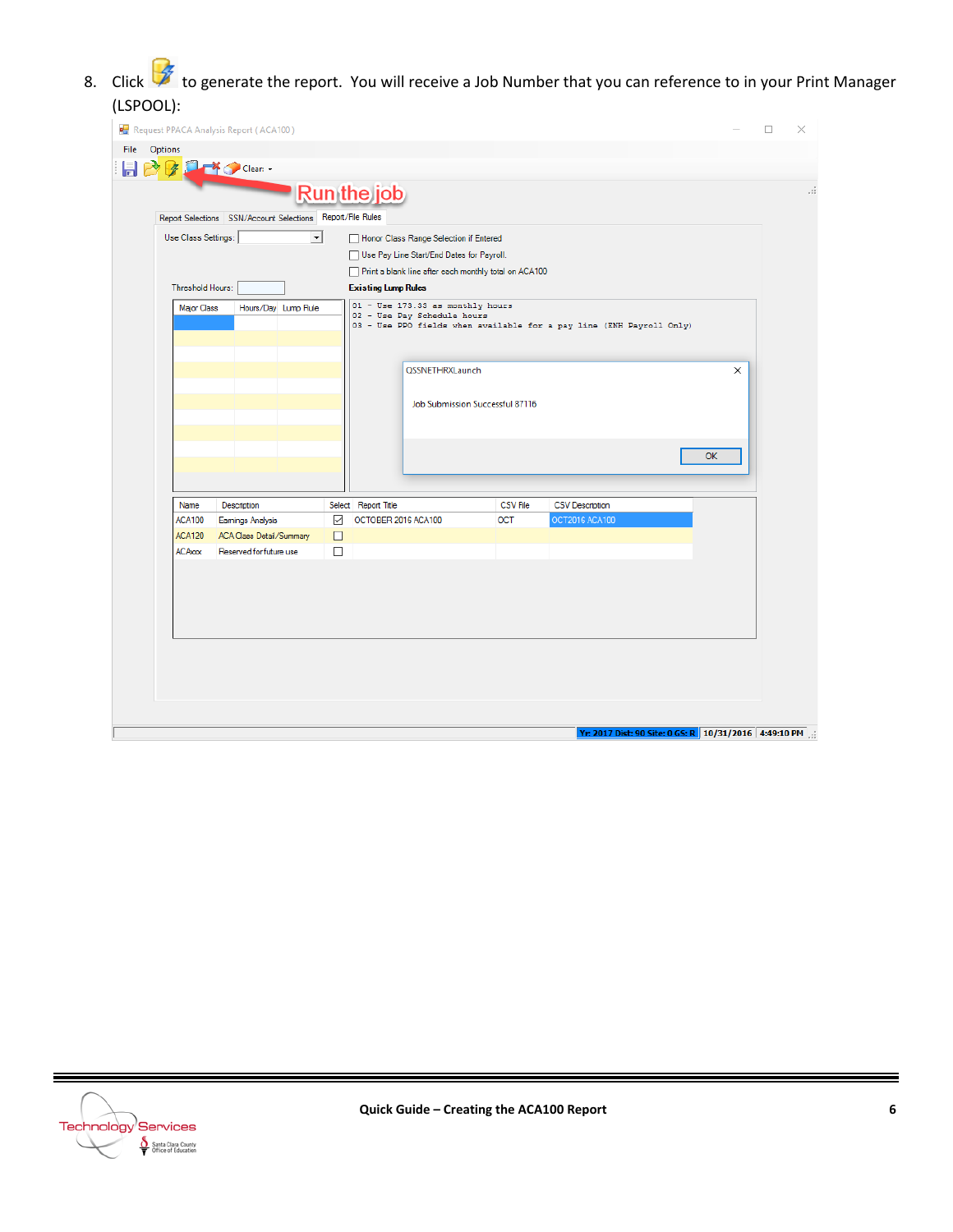8. Click to generate the report. You will receive a Job Number that you can reference to in your Print Manager (LSPOOL):

| \=~`~~ |         |                                |                                                              |                        |                                                       |                 |                                                                      |           |   |    |
|--------|---------|--------------------------------|--------------------------------------------------------------|------------------------|-------------------------------------------------------|-----------------|----------------------------------------------------------------------|-----------|---|----|
|        |         |                                | Request PPACA Analysis Report (ACA100)                       |                        |                                                       |                 |                                                                      |           | □ | ×  |
| File   | Options |                                |                                                              |                        |                                                       |                 |                                                                      |           |   |    |
|        |         | 孝                              | Clean -                                                      |                        |                                                       |                 |                                                                      |           |   |    |
|        |         |                                |                                                              |                        | <b>Run the job</b>                                    |                 |                                                                      |           |   | лi |
|        |         |                                | Report Selections  SSN/Account Selections  Report/File Rules |                        |                                                       |                 |                                                                      |           |   |    |
|        |         | Use Class Settings:            | $\vert \cdot \vert$                                          |                        | Honor Class Range Selection if Entered                |                 |                                                                      |           |   |    |
|        |         |                                |                                                              |                        | Use Pay Line Start/End Dates for Payroll.             |                 |                                                                      |           |   |    |
|        |         |                                |                                                              |                        | Print a blank line after each monthly total on ACA100 |                 |                                                                      |           |   |    |
|        |         | Threshold Hours:               |                                                              |                        | <b>Existing Lump Rules</b>                            |                 |                                                                      |           |   |    |
|        |         | <b>Major Class</b>             | Hours/Day Lump Rule                                          |                        | 01 - Use 173.33 as monthly hours                      |                 |                                                                      |           |   |    |
|        |         |                                |                                                              |                        | 02 - Use Pay Schedule hours                           |                 | 03 - Use PPO fields when available for a pay line (ENH Payroll Only) |           |   |    |
|        |         |                                |                                                              |                        |                                                       |                 |                                                                      |           |   |    |
|        |         |                                |                                                              |                        | <b>QSSNETHRXLaunch</b>                                |                 |                                                                      | $\times$  |   |    |
|        |         |                                |                                                              |                        |                                                       |                 |                                                                      |           |   |    |
|        |         |                                |                                                              |                        | Job Submission Successful 87116                       |                 |                                                                      |           |   |    |
|        |         |                                |                                                              |                        |                                                       |                 |                                                                      |           |   |    |
|        |         |                                |                                                              |                        |                                                       |                 |                                                                      |           |   |    |
|        |         |                                |                                                              |                        |                                                       |                 |                                                                      | <b>OK</b> |   |    |
|        |         |                                |                                                              |                        |                                                       |                 |                                                                      |           |   |    |
|        |         |                                |                                                              |                        |                                                       |                 |                                                                      |           |   |    |
|        |         | Name                           | Description                                                  |                        | Select Report Title                                   | <b>CSV File</b> | <b>CSV Description</b>                                               |           |   |    |
|        |         | <b>ACA100</b><br><b>ACA120</b> | <b>Eamings Analysis</b><br><b>ACA Class Detail/Summary</b>   | $\checkmark$<br>$\Box$ | OCTOBER 2016 ACA100                                   | <b>OCT</b>      | OCT2016 ACA100                                                       |           |   |    |
|        |         | <b>ACAxxx</b>                  | Reserved for future use                                      | □                      |                                                       |                 |                                                                      |           |   |    |
|        |         |                                |                                                              |                        |                                                       |                 |                                                                      |           |   |    |
|        |         |                                |                                                              |                        |                                                       |                 |                                                                      |           |   |    |
|        |         |                                |                                                              |                        |                                                       |                 |                                                                      |           |   |    |
|        |         |                                |                                                              |                        |                                                       |                 |                                                                      |           |   |    |
|        |         |                                |                                                              |                        |                                                       |                 |                                                                      |           |   |    |
|        |         |                                |                                                              |                        |                                                       |                 |                                                                      |           |   |    |
|        |         |                                |                                                              |                        |                                                       |                 |                                                                      |           |   |    |
|        |         |                                |                                                              |                        |                                                       |                 |                                                                      |           |   |    |
|        |         |                                |                                                              |                        |                                                       |                 |                                                                      |           |   |    |
|        |         |                                |                                                              |                        |                                                       |                 | Yr: 2017 Dist: 90 Site: 0 GS: R   10/31/2016   4:49:10 PM   .:       |           |   |    |
|        |         |                                |                                                              |                        |                                                       |                 |                                                                      |           |   |    |



═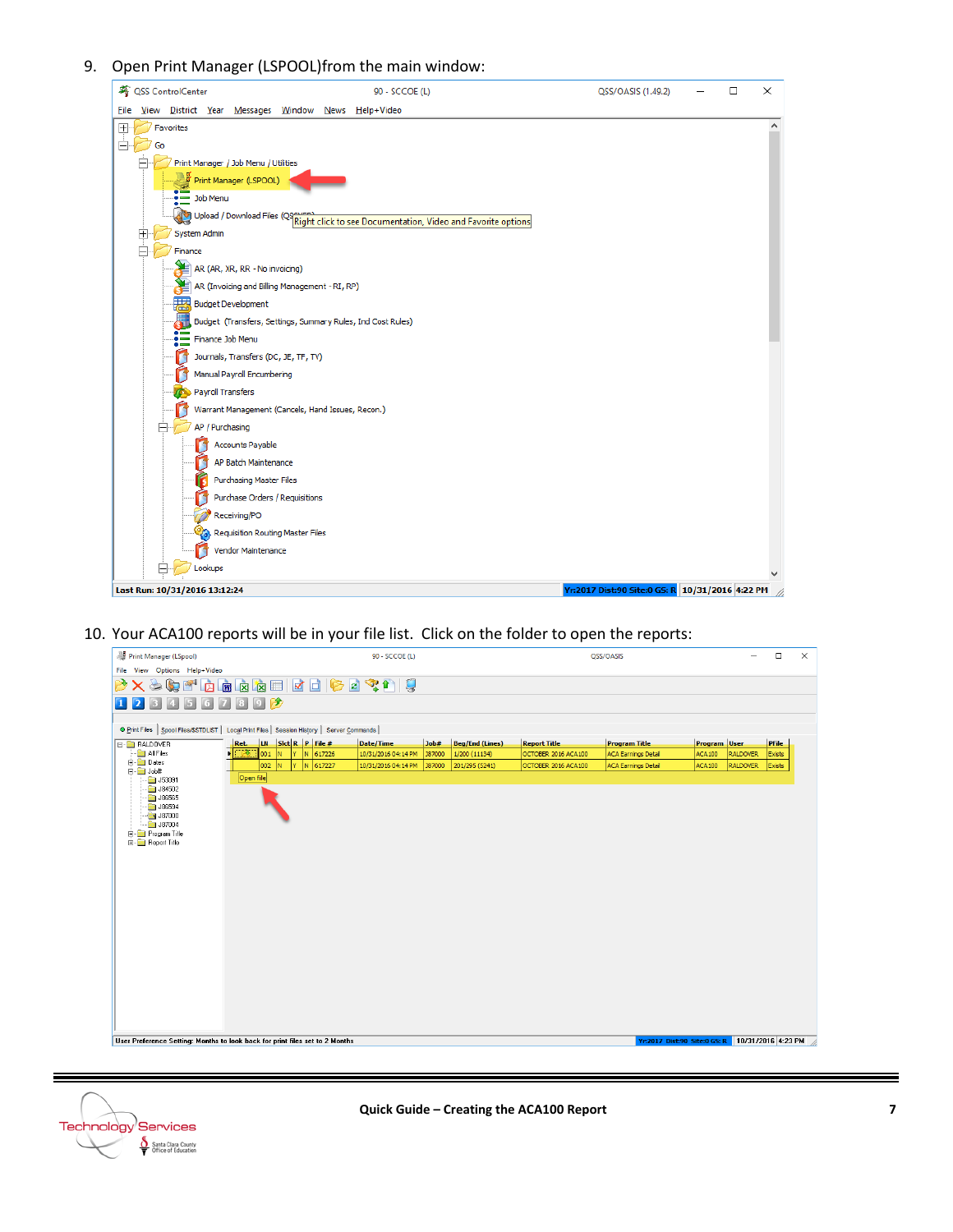### 9. Open Print Manager (LSPOOL)from the main window:



10. Your ACA100 reports will be in your file list. Click on the folder to open the reports:

| Print Manager (LSpool)          |                                                                                              | 90 - SCCOE (L)      |        |                        |                     | QSS/OASIS                  |               |                 | $\Box$       | $\times$ |
|---------------------------------|----------------------------------------------------------------------------------------------|---------------------|--------|------------------------|---------------------|----------------------------|---------------|-----------------|--------------|----------|
| File View Options Help+Video    |                                                                                              |                     |        |                        |                     |                            |               |                 |              |          |
| $\mathbf{Q}$<br>醉<br>≤⊜<br>咽    | 19 日 日 南 太 南 南 太 南                                                                           | 零售                  |        |                        |                     |                            |               |                 |              |          |
|                                 | $\rightarrow$<br>$\left[0\right]$                                                            |                     |        |                        |                     |                            |               |                 |              |          |
|                                 |                                                                                              |                     |        |                        |                     |                            |               |                 |              |          |
|                                 | O Print Files   Spool Files/SSTDLIST   Local Print Files   Session History   Server Commands |                     |        |                        |                     |                            |               |                 |              |          |
| <b>E-C RALDOVER</b>             | LN S ct R P File#<br>Ret.                                                                    | Date/Time           | Job#   | <b>Beg/End (Lines)</b> | <b>Report Title</b> | <b>Program Title</b>       | Program User  |                 | <b>PFile</b> |          |
| All Files                       | N 617226<br>- 2x<br>001<br>Y.<br>IN.                                                         | 10/31/2016 04:14 PM | 387000 | 1/200 (11134)          | OCTOBER 2016 ACA100 | <b>ACA Earnings Detail</b> | <b>ACA100</b> | <b>RALDOVER</b> | Exists       |          |
| <b>E</b> Dates<br><b>D</b> Job# | $002$ N<br>Ÿ.<br>N 617227                                                                    | 10/31/2016 04:14 PM | 387000 | 201/295 (5241)         | OCTOBER 2016 ACA100 | <b>ACA Earnings Detail</b> | <b>ACA100</b> | <b>RALDOVER</b> | Exists       |          |
| $\Box$ J53091                   | Open file                                                                                    |                     |        |                        |                     |                            |               |                 |              |          |
| $\Box$ J84502                   |                                                                                              |                     |        |                        |                     |                            |               |                 |              |          |
| $\Box$ J86565<br>$\Box$ J86594  |                                                                                              |                     |        |                        |                     |                            |               |                 |              |          |
| $\bigcirc$ J87000               |                                                                                              |                     |        |                        |                     |                            |               |                 |              |          |
| $-$ 387004                      |                                                                                              |                     |        |                        |                     |                            |               |                 |              |          |
| E-Program Title                 |                                                                                              |                     |        |                        |                     |                            |               |                 |              |          |
| <b>E-C</b> Report Title         |                                                                                              |                     |        |                        |                     |                            |               |                 |              |          |
|                                 |                                                                                              |                     |        |                        |                     |                            |               |                 |              |          |
|                                 |                                                                                              |                     |        |                        |                     |                            |               |                 |              |          |
|                                 |                                                                                              |                     |        |                        |                     |                            |               |                 |              |          |
|                                 |                                                                                              |                     |        |                        |                     |                            |               |                 |              |          |
|                                 |                                                                                              |                     |        |                        |                     |                            |               |                 |              |          |
|                                 |                                                                                              |                     |        |                        |                     |                            |               |                 |              |          |
|                                 |                                                                                              |                     |        |                        |                     |                            |               |                 |              |          |
|                                 |                                                                                              |                     |        |                        |                     |                            |               |                 |              |          |
|                                 |                                                                                              |                     |        |                        |                     |                            |               |                 |              |          |
|                                 |                                                                                              |                     |        |                        |                     |                            |               |                 |              |          |
|                                 |                                                                                              |                     |        |                        |                     |                            |               |                 |              |          |
|                                 |                                                                                              |                     |        |                        |                     |                            |               |                 |              |          |
|                                 |                                                                                              |                     |        |                        |                     |                            |               |                 |              |          |
|                                 |                                                                                              |                     |        |                        |                     |                            |               |                 |              |          |
|                                 |                                                                                              |                     |        |                        |                     |                            |               |                 |              |          |
|                                 |                                                                                              |                     |        |                        |                     |                            |               |                 |              |          |
|                                 |                                                                                              |                     |        |                        |                     |                            |               |                 |              |          |
|                                 |                                                                                              |                     |        |                        |                     |                            |               |                 |              |          |

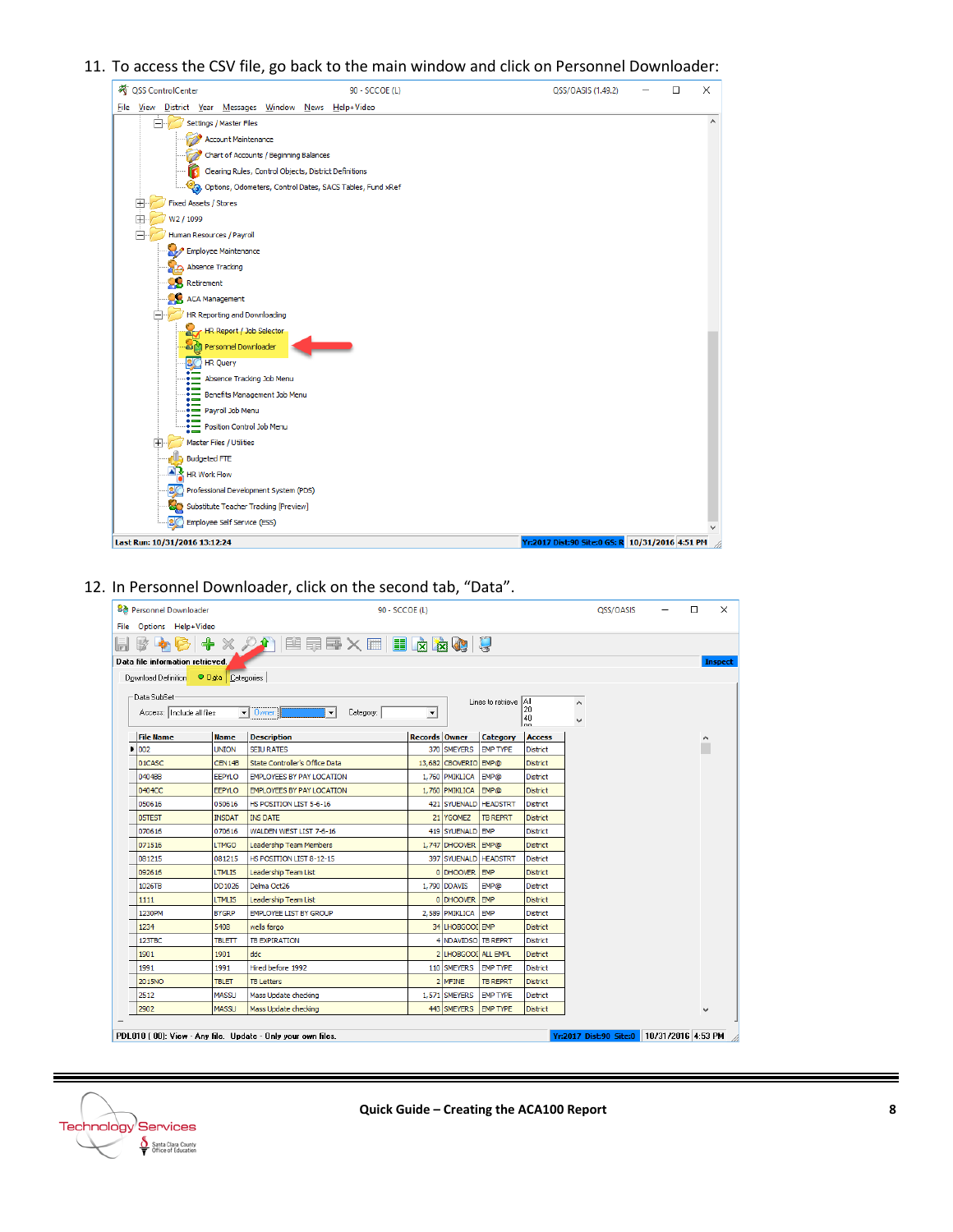#### 11. To access the CSV file, go back to the main window and click on Personnel Downloader:



#### 12. In Personnel Downloader, click on the second tab, "Data".

| <b>Bo</b> Personnel Downloader        |               |                                                                                                                                        | 90 - SCCOE (L)       |                       |                       |                                          |   | QSS/OASIS | □ | $\times$       |
|---------------------------------------|---------------|----------------------------------------------------------------------------------------------------------------------------------------|----------------------|-----------------------|-----------------------|------------------------------------------|---|-----------|---|----------------|
| File Options Help+Video               |               |                                                                                                                                        |                      |                       |                       |                                          |   |           |   |                |
| $\mathbb{Z}$                          |               | $+ \times 2$ $ $ $\mathbf{E}$ , $\mathbf{E}$ , $\mathbf{E}$ , $\mathbf{E}$ , $\mathbf{E}$ , $\mathbf{E}$ , $\mathbf{E}$ , $\mathbf{E}$ |                      |                       |                       |                                          |   |           |   |                |
| Data file information retrieved.      |               |                                                                                                                                        |                      |                       |                       |                                          |   |           |   | <b>Inspect</b> |
| Download Definition O Data Categories |               |                                                                                                                                        |                      |                       |                       |                                          |   |           |   |                |
| Data SubSet-                          |               |                                                                                                                                        |                      |                       |                       |                                          |   |           |   |                |
|                                       |               |                                                                                                                                        |                      |                       | Lines to retrieve All | 20                                       | ۸ |           |   |                |
| Access:  Include all files            |               | $\vert \cdot \vert$<br>Category:<br>$\bullet$ 0 wner:                                                                                  | $\blacktriangledown$ |                       |                       | $\begin{bmatrix} 40 \\ 00 \end{bmatrix}$ |   |           |   |                |
| <b>File Name</b>                      | <b>Name</b>   | <b>Description</b>                                                                                                                     | Records Owner        |                       | <b>Category</b>       | <b>Access</b>                            |   |           | ۸ |                |
| 002                                   | <b>UNION</b>  | <b>SEIU RATES</b>                                                                                                                      |                      | 370 SMEYERS           | <b>EMP TYPE</b>       | <b>District</b>                          |   |           |   |                |
| 01CASC                                | CEN14B        | State Controller's Office Data                                                                                                         |                      | 13,682 CBOVERIO EMP@  |                       | <b>District</b>                          |   |           |   |                |
| 0404BB                                | <b>EEPYLO</b> | <b>EMPLOYEES BY PAY LOCATION</b>                                                                                                       |                      | 1,760 PMIKLICA        | <b>EMP@</b>           | <b>District</b>                          |   |           |   |                |
| 0404CC                                | <b>EEPYLO</b> | <b>EMPLOYEES BY PAY LOCATION</b>                                                                                                       |                      | 1,760 PMIKLICA        | <b>EMP@</b>           | <b>District</b>                          |   |           |   |                |
| 050616                                | 050616        | HS POSITION LIST 5-6-16                                                                                                                |                      | 421 SYUENALD HEADSTRT |                       | <b>District</b>                          |   |           |   |                |
| 05TEST                                | <b>INSDAT</b> | <b>INS DATE</b>                                                                                                                        |                      | 21 YGOMEZ             | <b>TB REPRT</b>       | <b>District</b>                          |   |           |   |                |
| 070616                                | 070616        | WALDEN WEST LIST 7-6-16                                                                                                                |                      | 419 SYUENALD EMP      |                       | <b>District</b>                          |   |           |   |                |
| 071516                                | <b>LTMGO</b>  | <b>Leadership Team Members</b>                                                                                                         |                      | 1,747 DHOOVER EMP@    |                       | <b>District</b>                          |   |           |   |                |
| 081215                                | 081215        | HS POSITION LIST 8-12-15                                                                                                               |                      | 397 SYUENALD HEADSTRT |                       | <b>District</b>                          |   |           |   |                |
| 092616                                | <b>LTMLIS</b> | Leadership Team List                                                                                                                   |                      | 0 DHOOVER EMP         |                       | <b>District</b>                          |   |           |   |                |
| 1026TB                                | DD1026        | Delma Oct26                                                                                                                            |                      | 1,790 DDAVIS          | <b>EMP@</b>           | <b>District</b>                          |   |           |   |                |
| 1111                                  | <b>LTMLIS</b> | Leadership Team List                                                                                                                   |                      | 0 DHOOVER EMP         |                       | <b>District</b>                          |   |           |   |                |
| 1230PM                                | <b>BYGRP</b>  | EMPLOYEE LIST BY GROUP                                                                                                                 |                      | 2,589 PMIKLICA        | EMP                   | <b>District</b>                          |   |           |   |                |
| 1234                                  | 5408          | wells fargo                                                                                                                            |                      | 34 LHOBGOOL EMP       |                       | <b>District</b>                          |   |           |   |                |
| 123TBC                                | <b>TBLETT</b> | <b>TB EXPIRATION</b>                                                                                                                   |                      | 4 NDAVIDSO TB REPRT   |                       | <b>District</b>                          |   |           |   |                |
| 1901                                  | 1901          | ddc                                                                                                                                    |                      | 2 LHOBGOOD ALL EMPL   |                       | <b>District</b>                          |   |           |   |                |
| 1991                                  | 1991          | Hired before 1992                                                                                                                      |                      | 110 SMEYERS           | <b>EMP TYPE</b>       | <b>District</b>                          |   |           |   |                |
| 2015NO                                | <b>TBLET</b>  | <b>TB Letters</b>                                                                                                                      |                      | 2 MFINE               | <b>TB REPRT</b>       | <b>District</b>                          |   |           |   |                |
| 2512                                  | <b>MASSU</b>  | Mass Update checking                                                                                                                   |                      | 1,571 SMEYERS         | <b>EMP TYPE</b>       | District                                 |   |           |   |                |
| 2902                                  |               | Mass Update checking                                                                                                                   |                      | 443 SMEYERS           | <b>EMP TYPE</b>       | <b>District</b>                          |   |           |   |                |

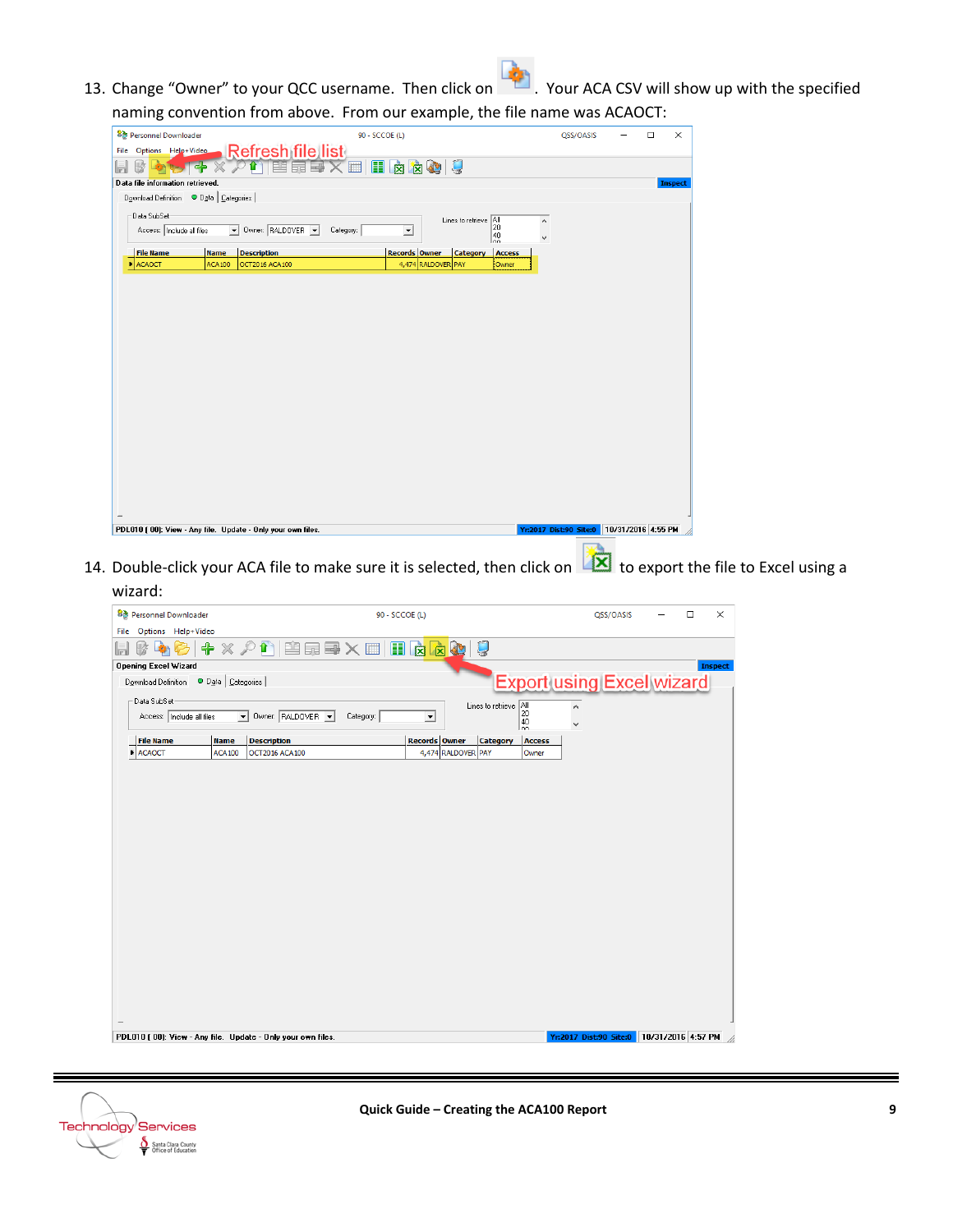13. Change "Owner" to your QCC username. Then click on ... Your ACA CSV will show up with the specified naming convention from above. From our example, the file name was ACAOCT:

| 8d Personnel Downloader          |                                         |                                                             | 90 - SCCOE (L) |                          |                    |                                                                                                        |               |              | QSS/OASIS                                   | $\Box$ | $\times$ |
|----------------------------------|-----------------------------------------|-------------------------------------------------------------|----------------|--------------------------|--------------------|--------------------------------------------------------------------------------------------------------|---------------|--------------|---------------------------------------------|--------|----------|
| File Options Help+Video          |                                         |                                                             |                |                          |                    |                                                                                                        |               |              |                                             |        |          |
| 盏                                | 로는                                      | _Refresh file list<br>※ の竹  普爾耳× 一   日 卤 卤 0                |                |                          |                    | C                                                                                                      |               |              |                                             |        |          |
| Data file information retrieved. |                                         |                                                             |                |                          |                    |                                                                                                        |               |              |                                             |        | Inspect  |
|                                  | Download Definition © Data   Categories |                                                             |                |                          |                    |                                                                                                        |               |              |                                             |        |          |
| Data SubSet                      |                                         |                                                             |                |                          |                    |                                                                                                        |               | Α            |                                             |        |          |
| Access:   Include all files      |                                         | Dwner: RALDOVER V                                           | Category:      | $\overline{\phantom{a}}$ |                    | Lines to retrieve $\begin{array}{ c } \hline \Delta \parallel \ \hline 20 \\ 40 \\ \hline \end{array}$ |               | $\checkmark$ |                                             |        |          |
| <b>File Name</b>                 | <b>Name</b>                             | <b>Description</b>                                          |                | Records Owner            |                    | <b>Category</b>                                                                                        | <b>Access</b> |              |                                             |        |          |
| <b>E</b> ACAOCT                  | <b>ACA100</b>                           | OCT2016 ACA100                                              |                |                          | 4,474 RALDOVER PAY |                                                                                                        | Owner         |              |                                             |        |          |
|                                  |                                         |                                                             |                |                          |                    |                                                                                                        |               |              |                                             |        |          |
|                                  |                                         |                                                             |                |                          |                    |                                                                                                        |               |              |                                             |        |          |
|                                  |                                         |                                                             |                |                          |                    |                                                                                                        |               |              |                                             |        |          |
|                                  |                                         |                                                             |                |                          |                    |                                                                                                        |               |              |                                             |        |          |
|                                  |                                         |                                                             |                |                          |                    |                                                                                                        |               |              |                                             |        |          |
|                                  |                                         |                                                             |                |                          |                    |                                                                                                        |               |              |                                             |        |          |
|                                  |                                         |                                                             |                |                          |                    |                                                                                                        |               |              |                                             |        |          |
|                                  |                                         |                                                             |                |                          |                    |                                                                                                        |               |              |                                             |        |          |
|                                  |                                         |                                                             |                |                          |                    |                                                                                                        |               |              |                                             |        |          |
|                                  |                                         |                                                             |                |                          |                    |                                                                                                        |               |              |                                             |        |          |
|                                  |                                         |                                                             |                |                          |                    |                                                                                                        |               |              |                                             |        |          |
|                                  |                                         |                                                             |                |                          |                    |                                                                                                        |               |              |                                             |        |          |
|                                  |                                         |                                                             |                |                          |                    |                                                                                                        |               |              |                                             |        |          |
|                                  |                                         |                                                             |                |                          |                    |                                                                                                        |               |              |                                             |        |          |
|                                  |                                         |                                                             |                |                          |                    |                                                                                                        |               |              |                                             |        |          |
|                                  |                                         |                                                             |                |                          |                    |                                                                                                        |               |              |                                             |        |          |
|                                  |                                         |                                                             |                |                          |                    |                                                                                                        |               |              |                                             |        |          |
|                                  |                                         |                                                             |                |                          |                    |                                                                                                        |               |              |                                             |        |          |
|                                  |                                         |                                                             |                |                          |                    |                                                                                                        |               |              |                                             |        |          |
|                                  |                                         |                                                             |                |                          |                    |                                                                                                        |               |              |                                             |        |          |
|                                  |                                         |                                                             |                |                          |                    |                                                                                                        |               |              |                                             |        |          |
|                                  |                                         |                                                             |                |                          |                    |                                                                                                        |               |              |                                             |        |          |
|                                  |                                         |                                                             |                |                          |                    |                                                                                                        |               |              |                                             |        |          |
|                                  |                                         |                                                             |                |                          |                    |                                                                                                        |               |              |                                             |        |          |
|                                  |                                         |                                                             |                |                          |                    |                                                                                                        |               |              |                                             |        |          |
|                                  |                                         |                                                             |                |                          |                    |                                                                                                        |               |              |                                             |        |          |
|                                  |                                         | PDL010 (00): View - Any file. Update - Only your own files. |                |                          |                    |                                                                                                        |               |              | Yr:2017 Dist:90 Site:0   10/31/2016 4:55 PM |        |          |

14. Double-click your ACA file to make sure it is selected, then click on to export the file to Excel using a wizard:

|      |                             | <b>Bo</b> Personnel Downloader          |                     |                                                             | 90 - SCCOE (L) |                      |                       |                                                            |   | QSS/OASIS                                   | $\Box$ | $\times$       |
|------|-----------------------------|-----------------------------------------|---------------------|-------------------------------------------------------------|----------------|----------------------|-----------------------|------------------------------------------------------------|---|---------------------------------------------|--------|----------------|
| File |                             | Options Help+Video                      |                     |                                                             |                |                      |                       |                                                            |   |                                             |        |                |
|      |                             |                                         | $\times$ $\circ$    |                                                             |                |                      |                       |                                                            |   |                                             |        |                |
|      |                             | ♣                                       |                     | ↑ 国品国×田                                                     |                | 国区区<br>KU            | U                     |                                                            |   |                                             |        |                |
|      | <b>Opening Excel Wizard</b> |                                         |                     |                                                             |                |                      |                       |                                                            |   |                                             |        | <b>Inspect</b> |
|      |                             | Download Definition O Data   Categories |                     |                                                             |                |                      |                       | <b>Export using Excel wizard</b>                           |   |                                             |        |                |
|      | Data SubSet                 |                                         |                     |                                                             |                |                      | Lines to retrieve All |                                                            | ٨ |                                             |        |                |
|      |                             | Access:   Include all files             | $\vert \cdot \vert$ | Owner: RALDOVER -                                           | Category:      | $\blacktriangledown$ |                       | $\begin{bmatrix} 20 \\ 40 \\ 0 \\ 0 \\ 0 \\ \end{bmatrix}$ | v |                                             |        |                |
|      | <b>File Name</b>            |                                         | <b>Name</b>         | <b>Description</b>                                          |                | <b>Records Owner</b> | <b>Category</b>       | Access                                                     |   |                                             |        |                |
| ×    | <b>ACAOCT</b>               |                                         | <b>ACA100</b>       | OCT2016 ACA100                                              |                | 4,474 RALDOVER PAY   |                       | Owner                                                      |   |                                             |        |                |
|      |                             |                                         |                     |                                                             |                |                      |                       |                                                            |   |                                             |        |                |
|      |                             |                                         |                     |                                                             |                |                      |                       |                                                            |   |                                             |        |                |
|      |                             |                                         |                     |                                                             |                |                      |                       |                                                            |   |                                             |        |                |
|      |                             |                                         |                     |                                                             |                |                      |                       |                                                            |   |                                             |        |                |
|      |                             |                                         |                     |                                                             |                |                      |                       |                                                            |   |                                             |        |                |
|      |                             |                                         |                     |                                                             |                |                      |                       |                                                            |   |                                             |        |                |
|      |                             |                                         |                     |                                                             |                |                      |                       |                                                            |   |                                             |        |                |
|      |                             |                                         |                     |                                                             |                |                      |                       |                                                            |   |                                             |        |                |
|      |                             |                                         |                     |                                                             |                |                      |                       |                                                            |   |                                             |        |                |
|      |                             |                                         |                     |                                                             |                |                      |                       |                                                            |   |                                             |        |                |
|      |                             |                                         |                     |                                                             |                |                      |                       |                                                            |   |                                             |        |                |
|      |                             |                                         |                     |                                                             |                |                      |                       |                                                            |   |                                             |        |                |
|      |                             |                                         |                     |                                                             |                |                      |                       |                                                            |   |                                             |        |                |
|      |                             |                                         |                     |                                                             |                |                      |                       |                                                            |   |                                             |        |                |
|      |                             |                                         |                     |                                                             |                |                      |                       |                                                            |   |                                             |        |                |
|      |                             |                                         |                     |                                                             |                |                      |                       |                                                            |   |                                             |        |                |
|      |                             |                                         |                     |                                                             |                |                      |                       |                                                            |   |                                             |        |                |
|      |                             |                                         |                     |                                                             |                |                      |                       |                                                            |   |                                             |        |                |
|      |                             |                                         |                     | PDL010 (00): View - Any file. Update - Only your own files. |                |                      |                       |                                                            |   | Yr:2017 Dist:90 Site:0   10/31/2016 4:57 PM |        |                |
|      |                             |                                         |                     |                                                             |                |                      |                       |                                                            |   |                                             |        |                |



≡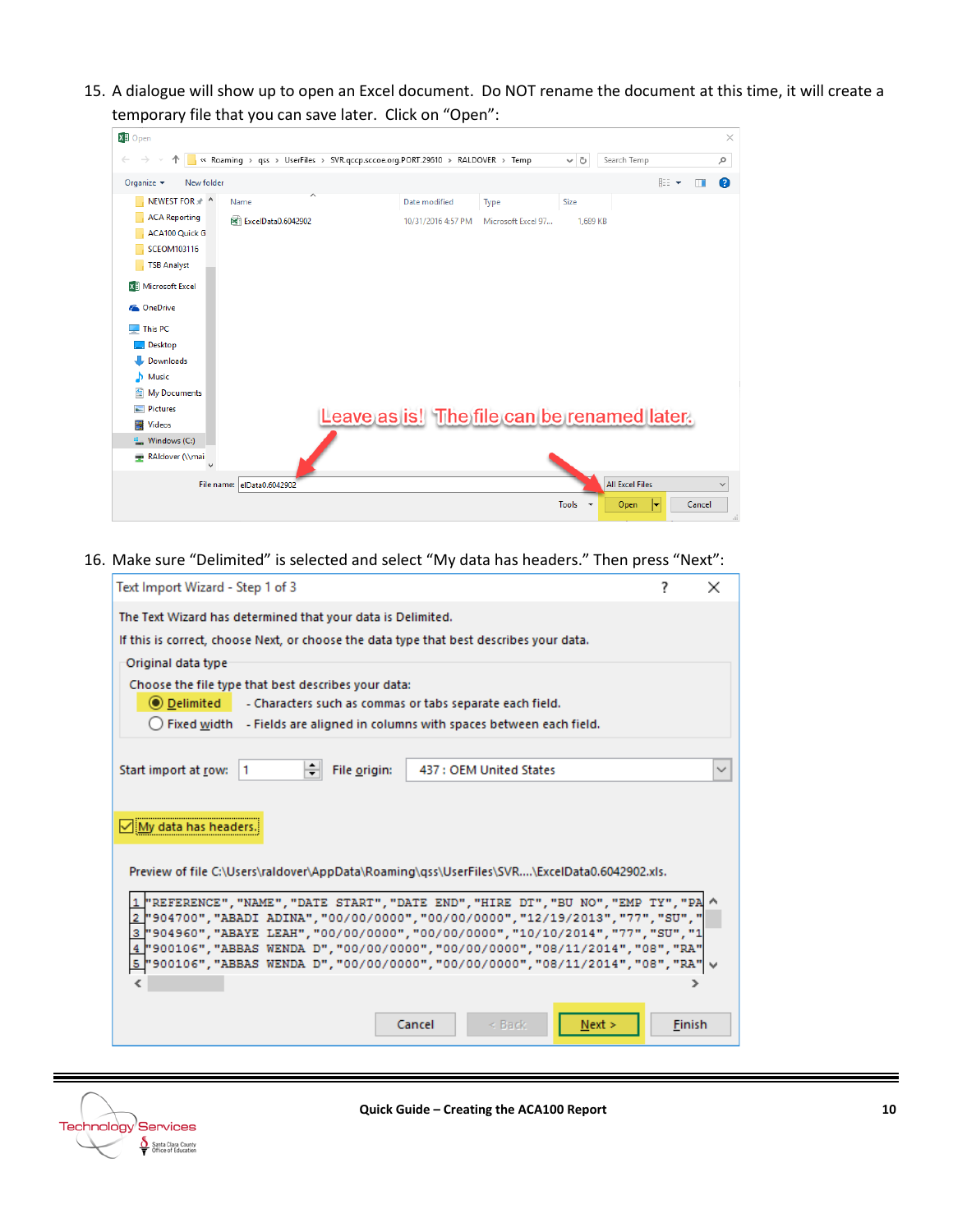15. A dialogue will show up to open an Excel document. Do NOT rename the document at this time, it will create a temporary file that you can save later. Click on "Open":

| <b>XI</b> I Open                              |                                                                               |                                             |                    |                    |          |                        |                              | $\times$     |
|-----------------------------------------------|-------------------------------------------------------------------------------|---------------------------------------------|--------------------|--------------------|----------|------------------------|------------------------------|--------------|
| $\rightarrow$<br>个<br>$\leftarrow$            | « Roaming > qss > UserFiles > SVR.qccp.sccoe.org.PORT.29610 > RALDOVER > Temp |                                             |                    |                    | $\sim$ 0 | Search Temp            |                              | ٩            |
| New folder<br>Organize $\blacktriangledown$   |                                                                               |                                             |                    |                    |          |                        | <b>BEE</b><br>$\blacksquare$ | ℯ            |
| NEWEST FOR * ^                                | $\wedge$<br>Name                                                              |                                             | Date modified      | Type               | Size     |                        |                              |              |
| <b>ACA Reporting</b><br><b>ACA100 Quick G</b> | 國 ExcelData0.6042902                                                          |                                             | 10/31/2016 4:57 PM | Microsoft Excel 97 | 1.689 KB |                        |                              |              |
| <b>SCEOM103116</b>                            |                                                                               |                                             |                    |                    |          |                        |                              |              |
| <b>TSB Analyst</b>                            |                                                                               |                                             |                    |                    |          |                        |                              |              |
| <b>X</b> Microsoft Excel                      |                                                                               |                                             |                    |                    |          |                        |                              |              |
| <b>Component</b> OneDrive                     |                                                                               |                                             |                    |                    |          |                        |                              |              |
| This PC                                       |                                                                               |                                             |                    |                    |          |                        |                              |              |
| Desktop                                       |                                                                               |                                             |                    |                    |          |                        |                              |              |
| Downloads                                     |                                                                               |                                             |                    |                    |          |                        |                              |              |
| Music<br>ь                                    |                                                                               |                                             |                    |                    |          |                        |                              |              |
| My Documents<br>兽                             |                                                                               |                                             |                    |                    |          |                        |                              |              |
| $\blacksquare$ Pictures                       |                                                                               | Leave as is! The file can be renamed later. |                    |                    |          |                        |                              |              |
| <b>Videos</b><br>В                            |                                                                               |                                             |                    |                    |          |                        |                              |              |
| <sup>12</sup> Windows (C:)                    |                                                                               |                                             |                    |                    |          |                        |                              |              |
| RAIdover (\\mai                               |                                                                               |                                             |                    |                    |          |                        |                              |              |
|                                               | File name: elData0.6042902                                                    |                                             |                    |                    |          | <b>All Excel Files</b> |                              | $\checkmark$ |
|                                               |                                                                               |                                             |                    |                    | Tools +  | Open<br>lv             | Cancel                       | $\therefore$ |

16. Make sure "Delimited" is selected and select "My data has headers." Then press "Next":

| Text Import Wizard - Step 1 of 3                                                                                                                                                                                                                                                                                                                                                                                                          | 7             |              |
|-------------------------------------------------------------------------------------------------------------------------------------------------------------------------------------------------------------------------------------------------------------------------------------------------------------------------------------------------------------------------------------------------------------------------------------------|---------------|--------------|
| The Text Wizard has determined that your data is Delimited.<br>If this is correct, choose Next, or choose the data type that best describes your data.                                                                                                                                                                                                                                                                                    |               |              |
| Original data type<br>Choose the file type that best describes your data:<br>(a) Delimited - Characters such as commas or tabs separate each field.<br>(c) Fixed width - Fields are aligned in columns with spaces between each field.                                                                                                                                                                                                    |               |              |
|                                                                                                                                                                                                                                                                                                                                                                                                                                           |               |              |
| ÷<br>File origin:<br>Start import at row:<br>437 : OEM United States<br>11.                                                                                                                                                                                                                                                                                                                                                               |               | $\checkmark$ |
| My data has headers<br>Preview of file C:\Users\raldover\AppData\Roaming\gss\UserFiles\SVR\ExcelData0.6042902.xls.                                                                                                                                                                                                                                                                                                                        |               |              |
| 1 FREFERENCE", "NAME", "DATE START", "DATE END", "HIRE DT", "BU NO", "EMP TY", "PA<br><u>2  </u> "904700","ABADI ADINA","00/00/0000","00/00/0000","12/19/2013","77","SU"," <br>3 004960", "ABAYE LEAH", "00/00/0000", "00/00/0000", "10/10/2014", "77", "SU", "1<br>4 700106", "ABBAS WENDA D", "00/00/0000", "00/00/0000", "08/11/2014", "08", "RA"<br>5 "900106", "ABBAS WENDA D", "00/00/0000", "00/00/0000", "08/11/2014", "08", "RA" |               |              |
|                                                                                                                                                                                                                                                                                                                                                                                                                                           |               |              |
| Cancel<br>$\leq$ Back<br>Next >                                                                                                                                                                                                                                                                                                                                                                                                           | <b>Finish</b> |              |

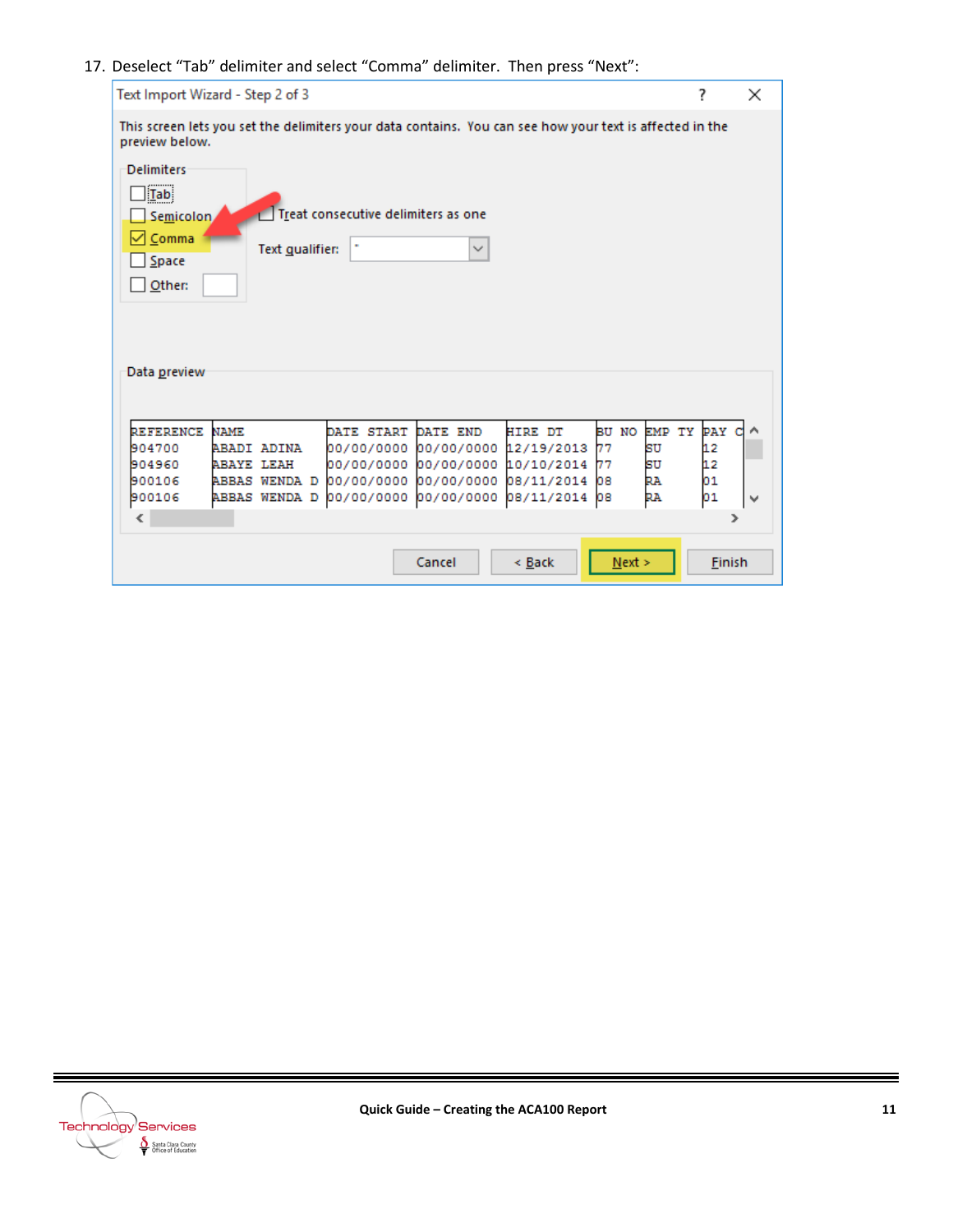## 17. Deselect "Tab" delimiter and select "Comma" delimiter. Then press "Next":

| Text Import Wizard - Step 2 of 3                                                                                                                                                                                                                                                                                                                                                                                                               |                                  |  |  |  |  |  |  |  |  |  |
|------------------------------------------------------------------------------------------------------------------------------------------------------------------------------------------------------------------------------------------------------------------------------------------------------------------------------------------------------------------------------------------------------------------------------------------------|----------------------------------|--|--|--|--|--|--|--|--|--|
| This screen lets you set the delimiters your data contains. You can see how your text is affected in the<br>preview below.                                                                                                                                                                                                                                                                                                                     |                                  |  |  |  |  |  |  |  |  |  |
| <b>Delimiters</b><br>$\frac{1}{2}$ Tab<br>Treat consecutive delimiters as one<br>Semicolon,<br>Comma<br>٠<br>Text qualifier:<br>$\checkmark$<br>Space<br>Other:<br>Data preview                                                                                                                                                                                                                                                                |                                  |  |  |  |  |  |  |  |  |  |
| EMP TY<br><b>REFERENCE</b><br>DATE START DATE END<br><b>HIRE DT</b><br>BU NO<br><b>NAME</b><br>00/00/0000 00/00/0000<br>12/19/2013<br>904700<br>ABADI ADINA<br>77<br>SU<br>SU<br><b>ABAYE LEAH</b><br>00/00/0000 00/00/0000<br>10/10/2014<br>904960<br>77<br>00/00/0000<br>00/00/0000<br>08/11/2014<br>RA<br>900106<br><b>ABBAS WENDA D</b><br>08<br>00/00/0000<br>08/11/2014<br>RA<br>900106<br><b>ABBAS WENDA D</b><br>00/00/0000<br>08<br>€ | PAY<br>12<br>12<br>01<br>01<br>⋗ |  |  |  |  |  |  |  |  |  |
| Cancel<br>< Back<br>Next >                                                                                                                                                                                                                                                                                                                                                                                                                     | Finish                           |  |  |  |  |  |  |  |  |  |



 $\equiv$